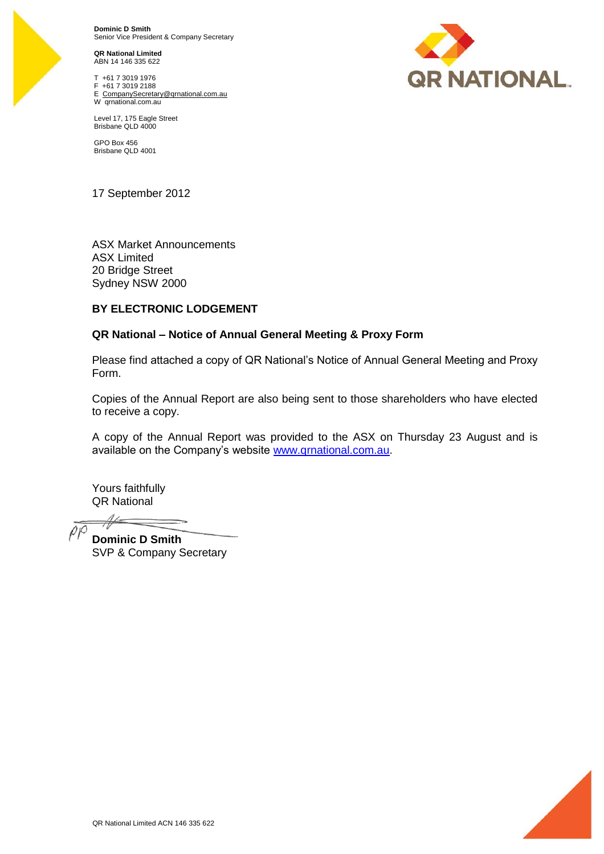**Dominic D Smith** Senior Vice President & Company Secretary

**QR National Limited** ABN 14 146 335 622

T +61 7 3019 1976 F +61 7 3019 2188 E CompanySecretary@qrnational.com.au W qrnational.com.au



Level 17, 175 Eagle Street Brisbane QLD 4000

GPO Box 456 Brisbane QLD 4001

17 September 2012

ASX Market Announcements ASX Limited 20 Bridge Street Sydney NSW 2000

# **BY ELECTRONIC LODGEMENT**

# **QR National – Notice of Annual General Meeting & Proxy Form**

Please find attached a copy of QR National's Notice of Annual General Meeting and Proxy Form.

Copies of the Annual Report are also being sent to those shareholders who have elected to receive a copy.

A copy of the Annual Report was provided to the ASX on Thursday 23 August and is available on the Company's website www.qrnational.com.au.

Yours faithfully QR National

**Dominic D Smith**  SVP & Company Secretary

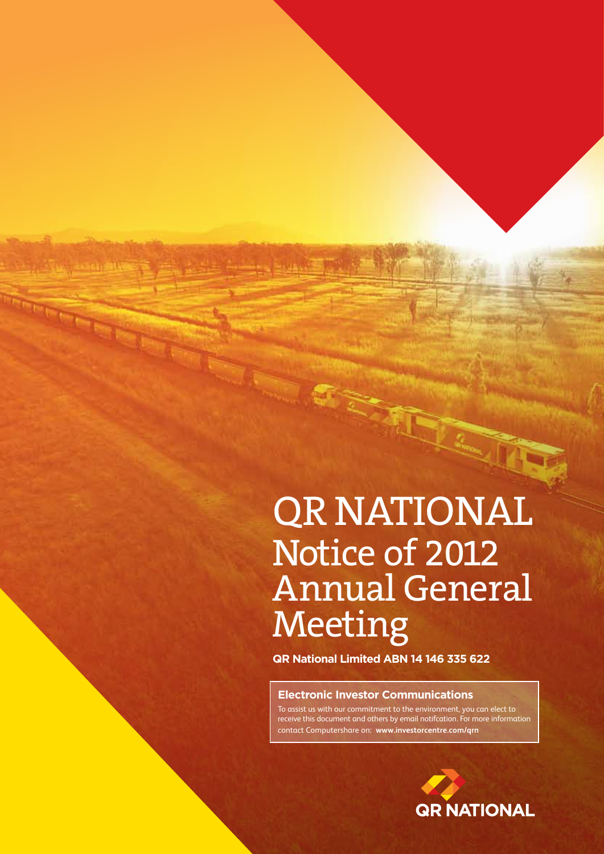# **QR NATIONAL** Notice of 2012 Annual General Meeting

**QR National Limited ABN 14 146 335 622**

# **Electronic Investor Communications**

To assist us with our commitment to the environment, you can elect to receive this document and others by email notifcation. For more information contact Computershare on: **www.investorcentre.com/qrn**

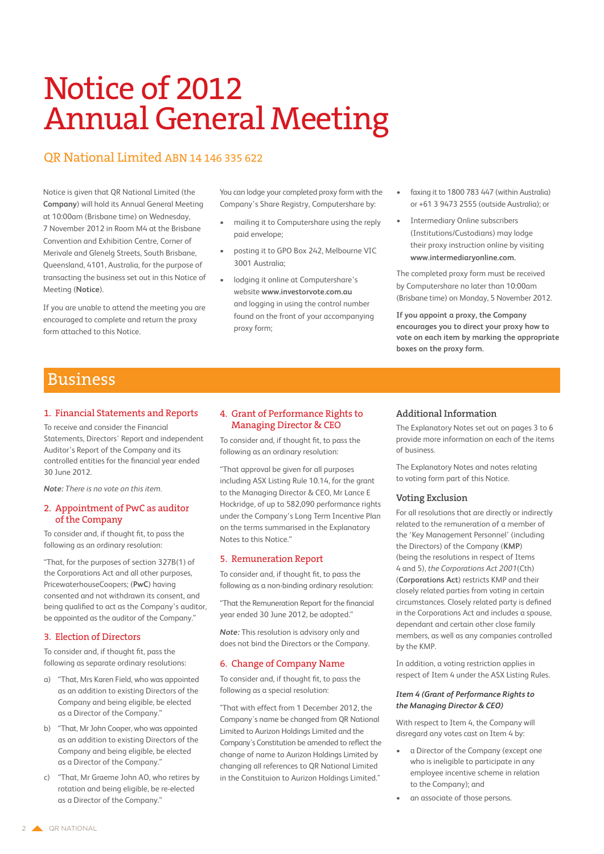# Notice of 2012 Annual General Meeting

# QR National Limited ABN 14 146 335 622

Notice is given that QR National Limited (the **Company**) will hold its Annual General Meeting at 10:00am (Brisbane time) on Wednesday, 7 November 2012 in Room M4 at the Brisbane Convention and Exhibition Centre, Corner of Merivale and Glenelg Streets, South Brisbane, Queensland, 4101, Australia, for the purpose of transacting the business set out in this Notice of Meeting (**Notice**).

If you are unable to attend the meeting you are encouraged to complete and return the proxy form attached to this Notice.

You can lodge your completed proxy form with the Company's Share Registry, Computershare by:

- mailing it to Computershare using the reply paid envelope;
- posting it to GPO Box 242, Melbourne VIC 3001 Australia;
- lodging it online at Computershare's website **www.investorvote.com.au** and logging in using the control number found on the front of your accompanying proxy form;
- faxing it to 1800 783 447 (within Australia) or +61 3 9473 2555 (outside Australia); or
- Intermediary Online subscribers (Institutions/Custodians) may lodge their proxy instruction online by visiting **www.intermediaryonline.com.**

The completed proxy form must be received by Computershare no later than 10:00am (Brisbane time) on Monday, 5 November 2012.

**If you appoint a proxy, the Company encourages you to direct your proxy how to vote on each item by marking the appropriate boxes on the proxy form.**

# Business

# 1. Financial Statements and Reports

To receive and consider the Financial Statements, Directors' Report and independent Auditor's Report of the Company and its controlled entities for the financial year ended 30 June 2012.

*Note: There is no vote on this item.*

# 2. Appointment of PwC as auditor of the Company

To consider and, if thought fit, to pass the following as an ordinary resolution:

"That, for the purposes of section 327B(1) of the Corporations Act and all other purposes, PricewaterhouseCoopers; (**PwC**) having consented and not withdrawn its consent, and being qualified to act as the Company's auditor, be appointed as the auditor of the Company."

# 3. Election of Directors

To consider and, if thought fit, pass the following as separate ordinary resolutions:

- a) "That, Mrs Karen Field, who was appointed as an addition to existing Directors of the Company and being eligible, be elected as a Director of the Company."
- b) "That, Mr John Cooper, who was appointed as an addition to existing Directors of the Company and being eligible, be elected as a Director of the Company."
- c) "That, Mr Graeme John AO, who retires by rotation and being eligible, be re-elected as a Director of the Company."

# 4. Grant of Performance Rights to Managing Director & CEO

To consider and, if thought fit, to pass the following as an ordinary resolution:

"That approval be given for all purposes including ASX Listing Rule 10.14, for the grant to the Managing Director & CEO, Mr Lance E Hockridge, of up to 582,090 performance rights under the Company's Long Term Incentive Plan on the terms summarised in the Explanatory Notes to this Notice."

# 5. Remuneration Report

To consider and, if thought fit, to pass the following as a non-binding ordinary resolution:

"That the Remuneration Report for the financial year ended 30 June 2012, be adopted."

*Note:* This resolution is advisory only and does not bind the Directors or the Company.

# 6. Change of Company Name

To consider and, if thought fit, to pass the following as a special resolution:

"That with effect from 1 December 2012, the Company's name be changed from QR National Limited to Aurizon Holdings Limited and the Company's Constitution be amended to reflect the change of name to Aurizon Holdings Limited by changing all references to QR National Limited in the Constituion to Aurizon Holdings Limited."

# **Additional Information**

The Explanatory Notes set out on pages 3 to 6 provide more information on each of the items of business.

The Explanatory Notes and notes relating to voting form part of this Notice.

# **Voting Exclusion**

For all resolutions that are directly or indirectly related to the remuneration of a member of the 'Key Management Personnel' (including the Directors) of the Company (**KMP**) (being the resolutions in respect of Items 4 and 5), *the Corporations Act 2001*(Cth) (**Corporations Act**) restricts KMP and their closely related parties from voting in certain circumstances. Closely related party is defined in the Corporations Act and includes a spouse, dependant and certain other close family members, as well as any companies controlled by the KMP.

In addition, a voting restriction applies in respect of Item 4 under the ASX Listing Rules.

#### *Item 4 (Grant of Performance Rights to the Managing Director & CEO)*

With respect to Item 4, the Company will disregard any votes cast on Item 4 by:

- a Director of the Company (except one who is ineligible to participate in any employee incentive scheme in relation to the Company); and
- an associate of those persons.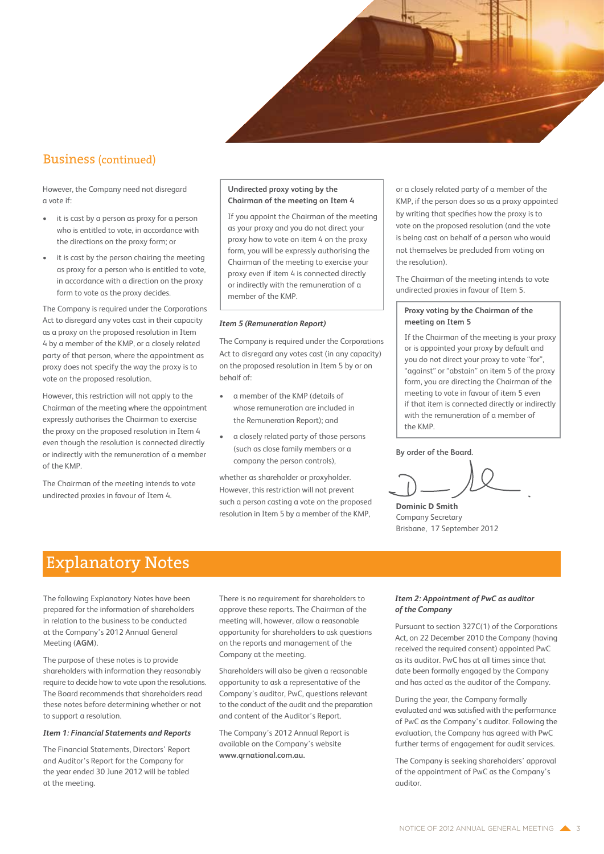

# Business (continued)

However, the Company need not disregard a vote if:

- it is cast by a person as proxy for a person who is entitled to vote, in accordance with the directions on the proxy form; or
- it is cast by the person chairing the meeting as proxy for a person who is entitled to vote, in accordance with a direction on the proxy form to vote as the proxy decides.

The Company is required under the Corporations Act to disregard any votes cast in their capacity as a proxy on the proposed resolution in Item 4 by a member of the KMP, or a closely related party of that person, where the appointment as proxy does not specify the way the proxy is to vote on the proposed resolution.

However, this restriction will not apply to the Chairman of the meeting where the appointment expressly authorises the Chairman to exercise the proxy on the proposed resolution in Item 4 even though the resolution is connected directly or indirectly with the remuneration of a member of the KMP.

The Chairman of the meeting intends to vote undirected proxies in favour of Item 4.

### **Undirected proxy voting by the Chairman of the meeting on Item 4**

If you appoint the Chairman of the meeting as your proxy and you do not direct your proxy how to vote on item 4 on the proxy form, you will be expressly authorising the Chairman of the meeting to exercise your proxy even if item 4 is connected directly or indirectly with the remuneration of a member of the KMP.

#### *Item 5 (Remuneration Report)*

The Company is required under the Corporations Act to disregard any votes cast (in any capacity) on the proposed resolution in Item 5 by or on behalf of:

- • a member of the KMP (details of whose remuneration are included in the Remuneration Report); and
- a closely related party of those persons (such as close family members or a company the person controls),

whether as shareholder or proxyholder. However, this restriction will not prevent such a person casting a vote on the proposed resolution in Item 5 by a member of the KMP,

or a closely related party of a member of the KMP, if the person does so as a proxy appointed by writing that specifies how the proxy is to vote on the proposed resolution (and the vote is being cast on behalf of a person who would not themselves be precluded from voting on the resolution).

The Chairman of the meeting intends to vote undirected proxies in favour of Item 5.

#### **Proxy voting by the Chairman of the meeting on Item 5**

If the Chairman of the meeting is your proxy or is appointed your proxy by default and you do not direct your proxy to vote "for", "against" or "abstain" on item 5 of the proxy form, you are directing the Chairman of the meeting to vote in favour of item 5 even if that item is connected directly or indirectly with the remuneration of a member of the KMP.

#### **By order of the Board***.*

**Dominic D Smith** Company Secretary Brisbane, 17 September 2012

# Explanatory Notes

The following Explanatory Notes have been prepared for the information of shareholders in relation to the business to be conducted at the Company's 2012 Annual General Meeting (**AGM**).

The purpose of these notes is to provide shareholders with information they reasonably require to decide how to vote upon the resolutions. The Board recommends that shareholders read these notes before determining whether or not to support a resolution.

#### *Item 1: Financial Statements and Reports*

The Financial Statements, Directors' Report and Auditor's Report for the Company for the year ended 30 June 2012 will be tabled at the meeting.

There is no requirement for shareholders to approve these reports. The Chairman of the meeting will, however, allow a reasonable opportunity for shareholders to ask questions on the reports and management of the Company at the meeting.

Shareholders will also be given a reasonable opportunity to ask a representative of the Company's auditor, PwC, questions relevant to the conduct of the audit and the preparation and content of the Auditor's Report.

The Company's 2012 Annual Report is available on the Company's website **www.qrnational.com.au.**

#### *Item 2: Appointment of PwC as auditor of the Company*

Pursuant to section 327C(1) of the Corporations Act, on 22 December 2010 the Company (having received the required consent) appointed PwC as its auditor. PwC has at all times since that date been formally engaged by the Company and has acted as the auditor of the Company.

During the year, the Company formally evaluated and was satisfied with the performance of PwC as the Company's auditor. Following the evaluation, the Company has agreed with PwC further terms of engagement for audit services.

The Company is seeking shareholders' approval of the appointment of PwC as the Company's auditor.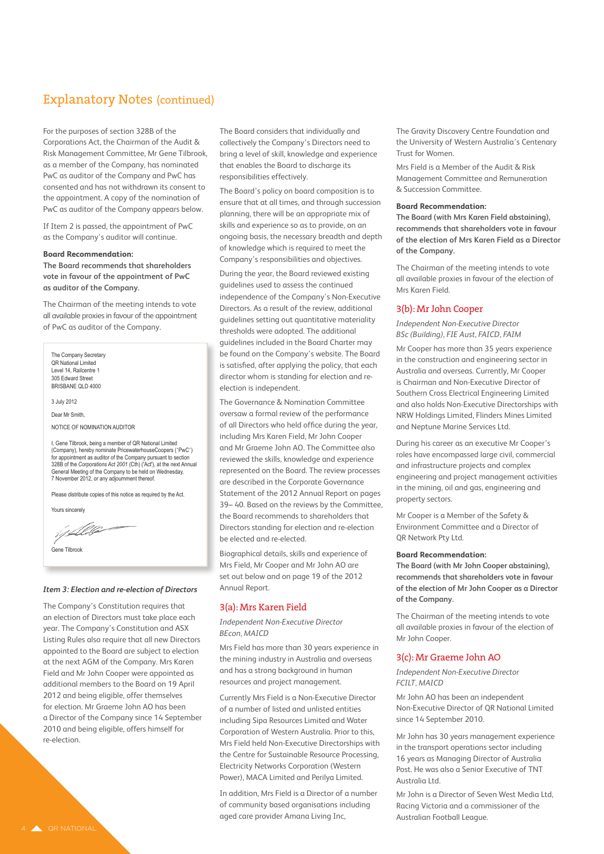# Explanatory Notes (continued)

For the purposes of section 328B of the Corporations Act, the Chairman of the Audit & Risk Management Committee, Mr Gene Tilbrook, as a member of the Company, has nominated PwC as auditor of the Company and PwC has consented and has not withdrawn its consent to the appointment. A copy of the nomination of PwC as auditor of the Company appears below.

If Item 2 is passed, the appointment of PwC as the Company's auditor will continue.

#### **Board Recommendation:**

**The Board recommends that shareholders vote in favour of the appointment of PwC as auditor of the Company.**

The Chairman of the meeting intends to vote all available proxies in favour of the appointment of PwC as auditor of the Company.

The Company Secretary QR National Limited Level 14, Railcentre 1 305 Edward Street BRISBANE OLD 4000

3 July 2012

Dear Mr Smith,

NOTICE OF NOMINATION AUDITOR

I, Gene Tilbrook, being a member of QR National Limited (Company), hereby nominate PricewaterhouseCoopers ('PwC') for appointment as auditor of the Company pursuant to section 328B of the *Corporations Act 2001* (Cth) ('Act'), at the next Annual General Meeting of the Company to be held on Wednesday, 7 November 2012, or any adjournment thereof.

Please distribute copies of this notice as required by the Act.

Yours sincerely

: i p. Llolle Gene Tilbrook

#### *Item 3: Election and re-election of Directors*

The Company's Constitution requires that an election of Directors must take place each year. The Company's Constitution and ASX Listing Rules also require that all new Directors appointed to the Board are subject to election at the next AGM of the Company. Mrs Karen Field and Mr John Cooper were appointed as additional members to the Board on 19 April 2012 and being eligible, offer themselves for election. Mr Graeme John AO has been a Director of the Company since 14 September 2010 and being eligible, offers himself for re-election.

The Board considers that individually and collectively the Company's Directors need to bring a level of skill, knowledge and experience that enables the Board to discharge its responsibilities effectively.

The Board's policy on board composition is to ensure that at all times, and through succession planning, there will be an appropriate mix of skills and experience so as to provide, on an ongoing basis, the necessary breadth and depth of knowledge which is required to meet the Company's responsibilities and objectives.

During the year, the Board reviewed existing guidelines used to assess the continued independence of the Company's Non-Executive Directors. As a result of the review, additional guidelines setting out quantitative materiality thresholds were adopted. The additional guidelines included in the Board Charter may be found on the Company's website. The Board is satisfied, after applying the policy, that each director whom is standing for election and reelection is independent.

The Governance & Nomination Committee oversaw a formal review of the performance of all Directors who held office during the year, including Mrs Karen Field, Mr John Cooper and Mr Graeme John AO. The Committee also reviewed the skills, knowledge and experience represented on the Board. The review processes are described in the Corporate Governance Statement of the 2012 Annual Report on pages 39– 40. Based on the reviews by the Committee, the Board recommends to shareholders that Directors standing for election and re-election be elected and re-elected.

Biographical details, skills and experience of Mrs Field, Mr Cooper and Mr John AO are set out below and on page 19 of the 2012 Annual Report.

#### 3(a): Mrs Karen Field

*Independent Non-Executive Director BEcon, MAICD*

Mrs Field has more than 30 years experience in the mining industry in Australia and overseas and has a strong background in human resources and project management.

Currently Mrs Field is a Non-Executive Director of a number of listed and unlisted entities including Sipa Resources Limited and Water Corporation of Western Australia. Prior to this, Mrs Field held Non-Executive Directorships with the Centre for Sustainable Resource Processing, Electricity Networks Corporation (Western Power), MACA Limited and Perilya Limited.

In addition, Mrs Field is a Director of a number of community based organisations including aged care provider Amana Living Inc,

The Gravity Discovery Centre Foundation and the University of Western Australia's Centenary Trust for Women.

Mrs Field is a Member of the Audit & Risk Management Committee and Remuneration & Succession Committee.

#### **Board Recommendation:**

**The Board (with Mrs Karen Field abstaining), recommends that shareholders vote in favour of the election of Mrs Karen Field as a Director of the Company.**

The Chairman of the meeting intends to vote all available proxies in favour of the election of Mrs Karen Field.

#### 3(b): Mr John Cooper

*Independent Non-Executive Director BSc (Building), FIE Aust, FAICD, FAIM*

Mr Cooper has more than 35 years experience in the construction and engineering sector in Australia and overseas. Currently, Mr Cooper is Chairman and Non-Executive Director of Southern Cross Electrical Engineering Limited and also holds Non-Executive Directorships with NRW Holdings Limited, Flinders Mines Limited and Neptune Marine Services Ltd.

During his career as an executive Mr Cooper's roles have encompassed large civil, commercial and infrastructure projects and complex engineering and project management activities in the mining, oil and gas, engineering and property sectors.

Mr Cooper is a Member of the Safety & Environment Committee and a Director of QR Network Pty Ltd.

#### **Board Recommendation:**

**The Board (with Mr John Cooper abstaining), recommends that shareholders vote in favour of the election of Mr John Cooper as a Director of the Company.**

The Chairman of the meeting intends to vote all available proxies in favour of the election of Mr John Cooper.

#### 3(c): Mr Graeme John AO

*Independent Non-Executive Director FCILT, MAICD*

Mr John AO has been an independent Non-Executive Director of QR National Limited since 14 September 2010.

Mr John has 30 years management experience in the transport operations sector including 16 years as Managing Director of Australia Post. He was also a Senior Executive of TNT Australia Ltd.

Mr John is a Director of Seven West Media Ltd, Racing Victoria and a commissioner of the Australian Football League.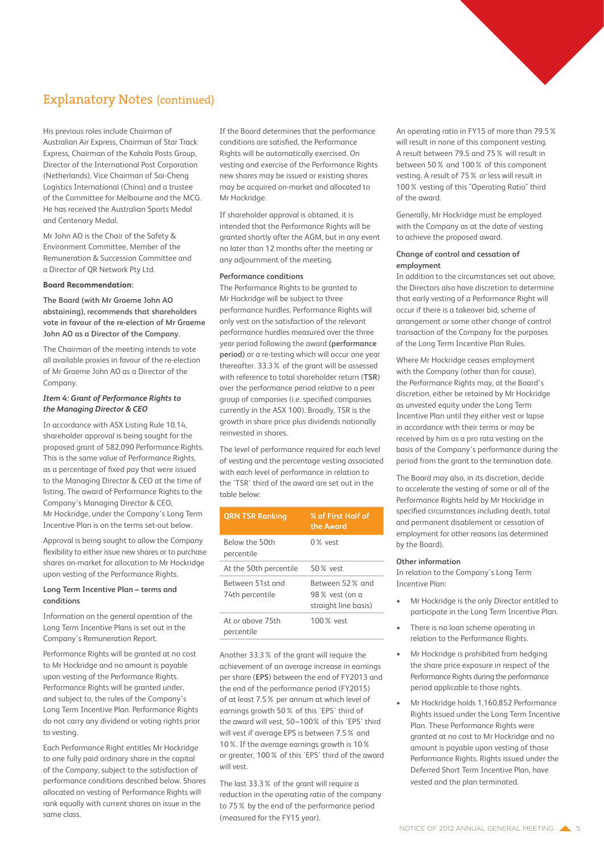

# Explanatory Notes (continued)

His previous roles include Chairman of Australian Air Express, Chairman of Star Track Express, Chairman of the Kahala Posts Group, Director of the International Post Corporation (Netherlands), Vice Chairman of Sai-Cheng Logistics International (China) and a trustee of the Committee for Melbourne and the MCG. He has received the Australian Sports Medal and Centenary Medal.

Mr John AO is the Chair of the Safety & Environment Committee, Member of the Remuneration & Succession Committee and a Director of QR Network Pty Ltd.

#### **Board Recommendation:**

**The Board (with Mr Graeme John AO abstaining), recommends that shareholders vote in favour of the re-election of Mr Graeme John AO as a Director of the Company.**

The Chairman of the meeting intends to vote all available proxies in favour of the re-election of Mr Graeme John AO as a Director of the Company.

#### *Item 4: Grant of Performance Rights to the Managing Director & CEO*

In accordance with ASX Listing Rule 10.14, shareholder approval is being sought for the proposed grant of 582,090 Performance Rights. This is the same value of Performance Rights, as a percentage of fixed pay that were issued to the Managing Director & CEO at the time of listing. The award of Performance Rights to the Company's Managing Director & CEO, Mr Hockridge, under the Company's Long Term Incentive Plan is on the terms set-out below.

Approval is being sought to allow the Company flexibility to either issue new shares or to purchase shares on-market for allocation to Mr Hockridge upon vesting of the Performance Rights.

## **Long Term Incentive Plan – terms and conditions**

Information on the general operation of the Long Term Incentive Plans is set out in the Company's Remuneration Report.

Performance Rights will be granted at no cost to Mr Hockridge and no amount is payable upon vesting of the Performance Rights. Performance Rights will be granted under, and subject to, the rules of the Company's Long Term Incentive Plan. Performance Rights do not carry any dividend or voting rights prior to vesting.

Each Performance Right entitles Mr Hockridge to one fully paid ordinary share in the capital of the Company, subject to the satisfaction of performance conditions described below. Shares allocated on vesting of Performance Rights will rank equally with current shares on issue in the same class.

If the Board determines that the performance conditions are satisfied, the Performance Rights will be automatically exercised. On vesting and exercise of the Performance Rights new shares may be issued or existing shares may be acquired on-market and allocated to Mr Hockridge.

If shareholder approval is obtained, it is intended that the Performance Rights will be granted shortly after the AGM, but in any event no later than 12 months after the meeting or any adjournment of the meeting.

#### **Performance conditions**

The Performance Rights to be granted to Mr Hockridge will be subject to three performance hurdles. Performance Rights will only vest on the satisfaction of the relevant performance hurdles measured over the three year period following the award **(performance period)** or a re-testing which will occur one year thereafter. 33.3% of the grant will be assessed with reference to total shareholder return (**TSR**) over the performance period relative to a peer group of companies (i.e. specified companies currently in the ASX 100). Broadly, TSR is the growth in share price plus dividends notionally reinvested in shares.

The level of performance required for each level of vesting and the percentage vesting associated with each level of performance in relation to the 'TSR' third of the award are set out in the table below:

| <b>QRN TSR Ranking</b>              | % of First Half of<br>the Award                            |
|-------------------------------------|------------------------------------------------------------|
| Below the 50th<br>percentile        | $0\%$ vest                                                 |
| At the 50th percentile              | 50 % vest                                                  |
| Between 51st and<br>74th percentile | Between 52% and<br>98 % vest (on a<br>straight line basis) |
| At or above 75th<br>percentile      | $100\%$ vest                                               |

Another 33.3% of the grant will require the achievement of an average increase in earnings per share (**EPS**) between the end of FY2013 and the end of the performance period (FY2015) of at least 7.5% per annum at which level of earnings growth 50% of this 'EPS' third of the award will vest, 50–100% of this 'EPS' third will vest if average EPS is between 7.5% and 10%. If the average earnings growth is 10% or greater, 100% of this 'EPS' third of the award will vest.

The last 33.3% of the grant will require a reduction in the operating ratio of the company to 75% by the end of the performance period (measured for the FY15 year).

An operating ratio in FY15 of more than 79.5% will result in none of this component vesting. A result between 79.5 and 75% will result in between 50% and 100% of this component vesting. A result of 75% or less will result in 100% vesting of this "Operating Ratio" third of the award.

Generally, Mr Hockridge must be employed with the Company as at the date of vesting to achieve the proposed award.

#### **Change of control and cessation of employment**

In addition to the circumstances set out above, the Directors also have discretion to determine that early vesting of a Performance Right will occur if there is a takeover bid, scheme of arrangement or some other change of control transaction of the Company for the purposes of the Long Term Incentive Plan Rules.

Where Mr Hockridge ceases employment with the Company (other than for cause), the Performance Rights may, at the Board's discretion, either be retained by Mr Hockridge as unvested equity under the Long Term Incentive Plan until they either vest or lapse in accordance with their terms or may be received by him as a pro rata vesting on the basis of the Company's performance during the period from the grant to the termination date.

The Board may also, in its discretion, decide to accelerate the vesting of some or all of the Performance Rights held by Mr Hockridge in specified circumstances including death, total and permanent disablement or cessation of employment for other reasons (as determined by the Board).

#### **Other information**

In relation to the Company's Long Term Incentive Plan:

- Mr Hockridge is the only Director entitled to participate in the Long Term Incentive Plan.
- There is no loan scheme operating in relation to the Performance Rights.
- Mr Hockridge is prohibited from hedging the share price exposure in respect of the Performance Rights during the performance period applicable to those rights.
- Mr Hockridge holds 1,160,852 Performance Rights issued under the Long Term Incentive Plan. These Performance Rights were granted at no cost to Mr Hockridge and no amount is payable upon vesting of those Performance Rights. Rights issued under the Deferred Short Term Incentive Plan, have vested and the plan terminated.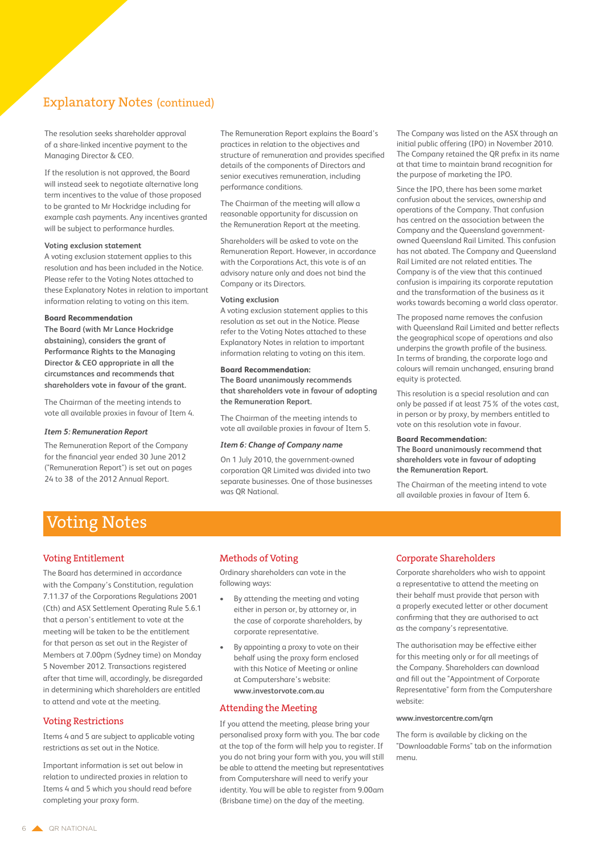# Explanatory Notes (continued)

The resolution seeks shareholder approval of a share-linked incentive payment to the Managing Director & CEO.

If the resolution is not approved, the Board will instead seek to negotiate alternative long term incentives to the value of those proposed to be granted to Mr Hockridge including for example cash payments. Any incentives granted will be subject to performance hurdles.

#### **Voting exclusion statement**

A voting exclusion statement applies to this resolution and has been included in the Notice. Please refer to the Voting Notes attached to these Explanatory Notes in relation to important information relating to voting on this item.

#### **Board Recommendation**

**The Board (with Mr Lance Hockridge abstaining), considers the grant of Performance Rights to the Managing Director & CEO appropriate in all the circumstances and recommends that shareholders vote in favour of the grant.**

The Chairman of the meeting intends to vote all available proxies in favour of Item 4.

#### *Item 5: Remuneration Report*

The Remuneration Report of the Company for the financial year ended 30 June 2012 ("Remuneration Report") is set out on pages 24 to 38 of the 2012 Annual Report.

The Remuneration Report explains the Board's practices in relation to the objectives and structure of remuneration and provides specified details of the components of Directors and senior executives remuneration, including performance conditions.

The Chairman of the meeting will allow a reasonable opportunity for discussion on the Remuneration Report at the meeting.

Shareholders will be asked to vote on the Remuneration Report. However, in accordance with the Corporations Act, this vote is of an advisory nature only and does not bind the Company or its Directors.

#### **Voting exclusion**

A voting exclusion statement applies to this resolution as set out in the Notice. Please refer to the Voting Notes attached to these Explanatory Notes in relation to important information relating to voting on this item.

#### **Board Recommendation:**

**The Board unanimously recommends that shareholders vote in favour of adopting the Remuneration Report.**

The Chairman of the meeting intends to vote all available proxies in favour of Item 5.

#### *Item 6: Change of Company name*

On 1 July 2010, the government-owned corporation QR Limited was divided into two separate businesses. One of those businesses was QR National.

The Company was listed on the ASX through an initial public offering (IPO) in November 2010. The Company retained the QR prefix in its name at that time to maintain brand recognition for the purpose of marketing the IPO.

Since the IPO, there has been some market confusion about the services, ownership and operations of the Company. That confusion has centred on the association between the Company and the Queensland governmentowned Queensland Rail Limited. This confusion has not abated. The Company and Queensland Rail Limited are not related entities. The Company is of the view that this continued confusion is impairing its corporate reputation and the transformation of the business as it works towards becoming a world class operator.

The proposed name removes the confusion with Queensland Rail Limited and better reflects the geographical scope of operations and also underpins the growth profile of the business. In terms of branding, the corporate logo and colours will remain unchanged, ensuring brand equity is protected.

This resolution is a special resolution and can only be passed if at least 75% of the votes cast, in person or by proxy, by members entitled to vote on this resolution vote in favour.

#### **Board Recommendation:**

**The Board unanimously recommend that shareholders vote in favour of adopting the Remuneration Report.** 

The Chairman of the meeting intend to vote all available proxies in favour of Item 6.

# Voting Notes

#### Voting Entitlement

The Board has determined in accordance with the Company's Constitution, regulation 7.11.37 of the Corporations Regulations 2001 (Cth) and ASX Settlement Operating Rule 5.6.1 that a person's entitlement to vote at the meeting will be taken to be the entitlement for that person as set out in the Register of Members at 7.00pm (Sydney time) on Monday 5 November 2012. Transactions registered after that time will, accordingly, be disregarded in determining which shareholders are entitled to attend and vote at the meeting.

#### Voting Restrictions

Items 4 and 5 are subject to applicable voting restrictions as set out in the Notice.

Important information is set out below in relation to undirected proxies in relation to Items 4 and 5 which you should read before completing your proxy form.

#### Methods of Voting

Ordinary shareholders can vote in the following ways:

- By attending the meeting and voting either in person or, by attorney or, in the case of corporate shareholders, by corporate representative.
- By appointing a proxy to vote on their behalf using the proxy form enclosed with this Notice of Meeting or online at Computershare's website: **www.investorvote.com.au**

#### Attending the Meeting

If you attend the meeting, please bring your personalised proxy form with you. The bar code at the top of the form will help you to register. If you do not bring your form with you, you will still be able to attend the meeting but representatives from Computershare will need to verify your identity. You will be able to register from 9.00am (Brisbane time) on the day of the meeting.

# Corporate Shareholders

Corporate shareholders who wish to appoint a representative to attend the meeting on their behalf must provide that person with a properly executed letter or other document confirming that they are authorised to act as the company's representative.

The authorisation may be effective either for this meeting only or for all meetings of the Company. Shareholders can download and fill out the "Appointment of Corporate Representative" form from the Computershare website:

#### **www.investorcentre.com/qrn**

The form is available by clicking on the "Downloadable Forms" tab on the information menu.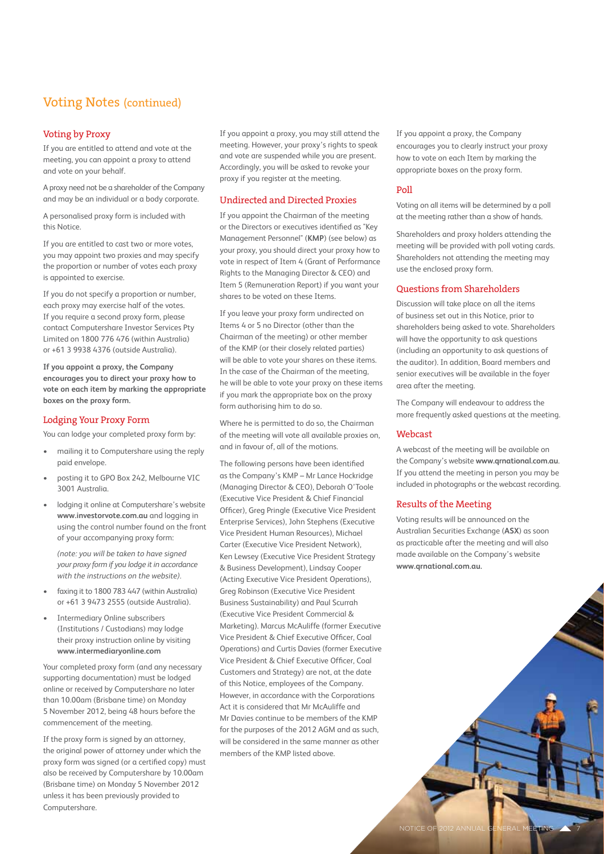# Voting Notes (continued)

# Voting by Proxy

If you are entitled to attend and vote at the meeting, you can appoint a proxy to attend and vote on your behalf.

A proxy need not be a shareholder of the Company and may be an individual or a body corporate.

A personalised proxy form is included with this Notice.

If you are entitled to cast two or more votes, you may appoint two proxies and may specify the proportion or number of votes each proxy is appointed to exercise.

If you do not specify a proportion or number, each proxy may exercise half of the votes. If you require a second proxy form, please contact Computershare Investor Services Pty Limited on 1800 776 476 (within Australia) or +61 3 9938 4376 (outside Australia).

**If you appoint a proxy, the Company encourages you to direct your proxy how to vote on each item by marking the appropriate boxes on the proxy form.**

# Lodging Your Proxy Form

You can lodge your completed proxy form by:

- mailing it to Computershare using the reply paid envelope.
- posting it to GPO Box 242, Melbourne VIC 3001 Australia.
- lodging it online at Computershare's website **www.investorvote.com.au** and logging in using the control number found on the front of your accompanying proxy form:

*(note: you will be taken to have signed your proxy form if you lodge it in accordance with the instructions on the website).*

- faxing it to 1800 783 447 (within Australia) or +61 3 9473 2555 (outside Australia).
- Intermediary Online subscribers (Institutions / Custodians) may lodge their proxy instruction online by visiting **www.intermediaryonline.com**

Your completed proxy form (and any necessary supporting documentation) must be lodged online or received by Computershare no later than 10.00am (Brisbane time) on Monday 5 November 2012, being 48 hours before the commencement of the meeting.

If the proxy form is signed by an attorney, the original power of attorney under which the proxy form was signed (or a certified copy) must also be received by Computershare by 10.00am (Brisbane time) on Monday 5 November 2012 unless it has been previously provided to Computershare.

If you appoint a proxy, you may still attend the meeting. However, your proxy's rights to speak and vote are suspended while you are present. Accordingly, you will be asked to revoke your proxy if you register at the meeting.

## Undirected and Directed Proxies

If you appoint the Chairman of the meeting or the Directors or executives identified as "Key Management Personnel" (**KMP**) (see below) as your proxy, you should direct your proxy how to vote in respect of Item 4 (Grant of Performance Rights to the Managing Director & CEO) and Item 5 (Remuneration Report) if you want your shares to be voted on these Items.

If you leave your proxy form undirected on Items 4 or 5 no Director (other than the Chairman of the meeting) or other member of the KMP (or their closely related parties) will be able to vote your shares on these items. In the case of the Chairman of the meeting, he will be able to vote your proxy on these items if you mark the appropriate box on the proxy form authorising him to do so.

Where he is permitted to do so, the Chairman of the meeting will vote all available proxies on, and in favour of, all of the motions.

The following persons have been identified as the Company's KMP – Mr Lance Hockridge (Managing Director & CEO), Deborah O'Toole (Executive Vice President & Chief Financial Officer), Greg Pringle (Executive Vice President Enterprise Services), John Stephens (Executive Vice President Human Resources), Michael Carter (Executive Vice President Network), Ken Lewsey (Executive Vice President Strategy & Business Development), Lindsay Cooper (Acting Executive Vice President Operations), Greg Robinson (Executive Vice President Business Sustainability) and Paul Scurrah (Executive Vice President Commercial & Marketing). Marcus McAuliffe (former Executive Vice President & Chief Executive Officer, Coal Operations) and Curtis Davies (former Executive Vice President & Chief Executive Officer, Coal Customers and Strategy) are not, at the date of this Notice, employees of the Company. However, in accordance with the Corporations Act it is considered that Mr McAuliffe and Mr Davies continue to be members of the KMP for the purposes of the 2012 AGM and as such, will be considered in the same manner as other members of the KMP listed above.

If you appoint a proxy, the Company encourages you to clearly instruct your proxy how to vote on each Item by marking the appropriate boxes on the proxy form.

## Poll

Voting on all items will be determined by a poll at the meeting rather than a show of hands.

Shareholders and proxy holders attending the meeting will be provided with poll voting cards. Shareholders not attending the meeting may use the enclosed proxy form.

# Questions from Shareholders

Discussion will take place on all the items of business set out in this Notice, prior to shareholders being asked to vote. Shareholders will have the opportunity to ask questions (including an opportunity to ask questions of the auditor). In addition, Board members and senior executives will be available in the foyer area after the meeting.

The Company will endeavour to address the more frequently asked questions at the meeting.

#### **Webcast**

A webcast of the meeting will be available on the Company's website **www.qrnational.com.au**. If you attend the meeting in person you may be included in photographs or the webcast recording.

# Results of the Meeting

Voting results will be announced on the Australian Securities Exchange (**ASX**) as soon as practicable after the meeting and will also made available on the Company's website **www.qrnational.com.au.**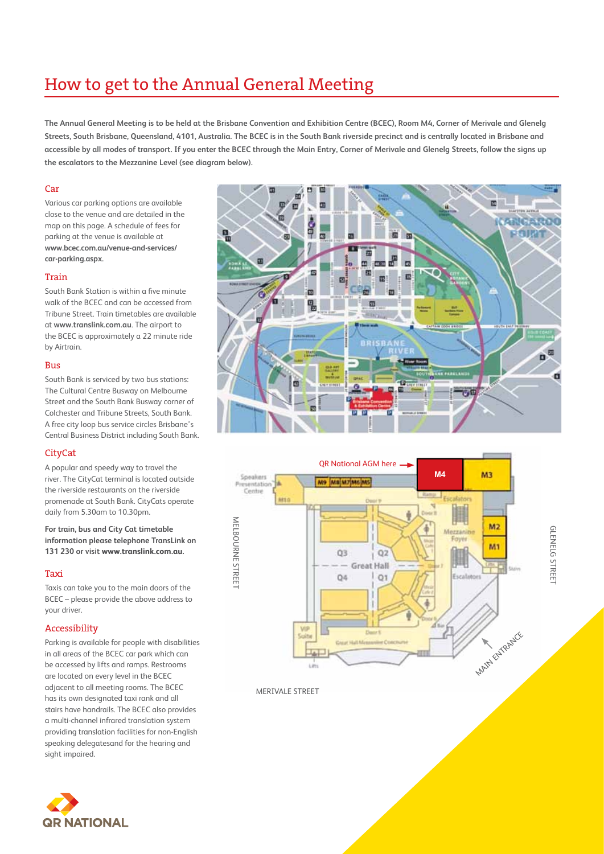# How to get to the Annual General Meeting

**The Annual General Meeting is to be held at the Brisbane Convention and Exhibition Centre (BCEC), Room M4, Corner of Merivale and Glenelg Streets, South Brisbane, Queensland, 4101, Australia. The BCEC is in the South Bank riverside precinct and is centrally located in Brisbane and accessible by all modes of transport. If you enter the BCEC through the Main Entry, Corner of Merivale and Glenelg Streets, follow the signs up the escalators to the Mezzanine Level (see diagram below).**

## Car

Various car parking options are available close to the venue and are detailed in the map on this page. A schedule of fees for parking at the venue is available at **www.bcec.com.au/venue-and-services/ car-parking.aspx.**

## Train

South Bank Station is within a five minute walk of the BCEC and can be accessed from Tribune Street. Train timetables are available at **www.translink.com.au**. The airport to the BCEC is approximately a 22 minute ride by Airtrain.

## Bus

South Bank is serviced by two bus stations: The Cultural Centre Busway on Melbourne Street and the South Bank Busway corner of Colchester and Tribune Streets, South Bank. A free city loop bus service circles Brisbane's Central Business District including South Bank.

# **CityCat**

A popular and speedy way to travel the river. The CityCat terminal is located outside the riverside restaurants on the riverside promenade at South Bank. CityCats operate daily from 5.30am to 10.30pm.

**For train, bus and City Cat timetable information please telephone TransLink on 131 230 or visit www.translink.com.au.**

# Taxi

Taxis can take you to the main doors of the BCEC – please provide the above address to your driver.

# Accessibility

Parking is available for people with disabilities in all areas of the BCEC car park which can be accessed by lifts and ramps. Restrooms are located on every level in the BCEC adjacent to all meeting rooms. The BCEC has its own designated taxi rank and all stairs have handrails. The BCEC also provides a multi-channel infrared translation system providing translation facilities for non-English speaking delegatesand for the hearing and sight impaired.







MERIVALE STREET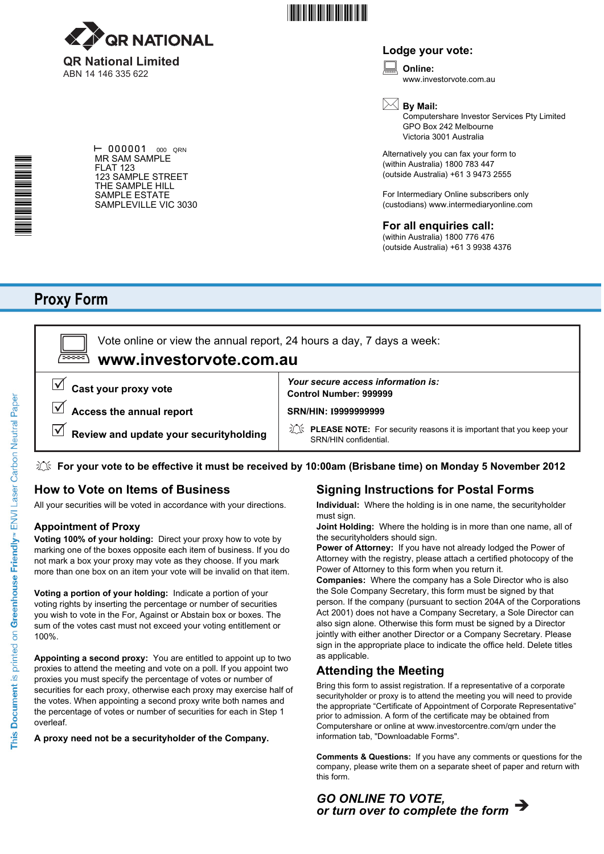



# **Lodge your vote:**

**Online:** www.investorvote.com.au  $\boxed{\Box}$ 

\*<br>\* London<br>Timografia

 $\vdash$  000001 000 QRN MR SAM SAMPLE FLAT 123 123 SAMPLE STREET THE SAMPLE HILL SAMPLE ESTATE SAMPLEVILLE VIC 3030 **By Mail:**

Computershare Investor Services Pty Limited GPO Box 242 Melbourne Victoria 3001 Australia

Alternatively you can fax your form to (within Australia) 1800 783 447 (outside Australia) +61 3 9473 2555

For Intermediary Online subscribers only (custodians) www.intermediaryonline.com

# **For all enquiries call:**

(within Australia) 1800 776 476 (outside Australia) +61 3 9938 4376

# **Proxy Form**

**www.investorvote.com.au** Vote online or view the annual report, 24 hours a day, 7 days a week:  $\boxed{\square}$ 

 $\overline{\mathsf{M}}$ **Cast your proxy vote**

**Access the annual report**

 $\overline{\blacktriangledown}$ **Review and update your securityholding** **Control Number: 999999** *Your secure access information is:*

**SRN/HIN: I9999999999**

**PLEASE NOTE:** For security reasons it is important that you keep your SRN/HIN confidential.

# **For your vote to be effective it must be received by 10:00am (Brisbane time) on Monday 5 November 2012**

# **How to Vote on Items of Business**

All your securities will be voted in accordance with your directions.

# **Appointment of Proxy**

**Voting 100% of your holding:** Direct your proxy how to vote by marking one of the boxes opposite each item of business. If you do not mark a box your proxy may vote as they choose. If you mark more than one box on an item your vote will be invalid on that item.

**Voting a portion of your holding:** Indicate a portion of your voting rights by inserting the percentage or number of securities you wish to vote in the For, Against or Abstain box or boxes. The sum of the votes cast must not exceed your voting entitlement or 100%.

**Appointing a second proxy:** You are entitled to appoint up to two proxies to attend the meeting and vote on a poll. If you appoint two proxies you must specify the percentage of votes or number of securities for each proxy, otherwise each proxy may exercise half of the votes. When appointing a second proxy write both names and the percentage of votes or number of securities for each in Step 1 overleaf.

**A proxy need not be a securityholder of the Company.**

# **Signing Instructions for Postal Forms**

**Individual:** Where the holding is in one name, the securityholder must sign.

**Joint Holding:** Where the holding is in more than one name, all of the securityholders should sign.

**Power of Attorney:** If you have not already lodged the Power of Attorney with the registry, please attach a certified photocopy of the Power of Attorney to this form when you return it.

**Companies:** Where the company has a Sole Director who is also the Sole Company Secretary, this form must be signed by that person. If the company (pursuant to section 204A of the Corporations Act 2001) does not have a Company Secretary, a Sole Director can also sign alone. Otherwise this form must be signed by a Director jointly with either another Director or a Company Secretary. Please sign in the appropriate place to indicate the office held. Delete titles as applicable.

# **Attending the Meeting**

Bring this form to assist registration. If a representative of a corporate securityholder or proxy is to attend the meeting you will need to provide the appropriate "Certificate of Appointment of Corporate Representative" prior to admission. A form of the certificate may be obtained from Computershare or online at www.investorcentre.com/qrn under the information tab, "Downloadable Forms".

**Comments & Questions:** If you have any comments or questions for the company, please write them on a separate sheet of paper and return with this form.